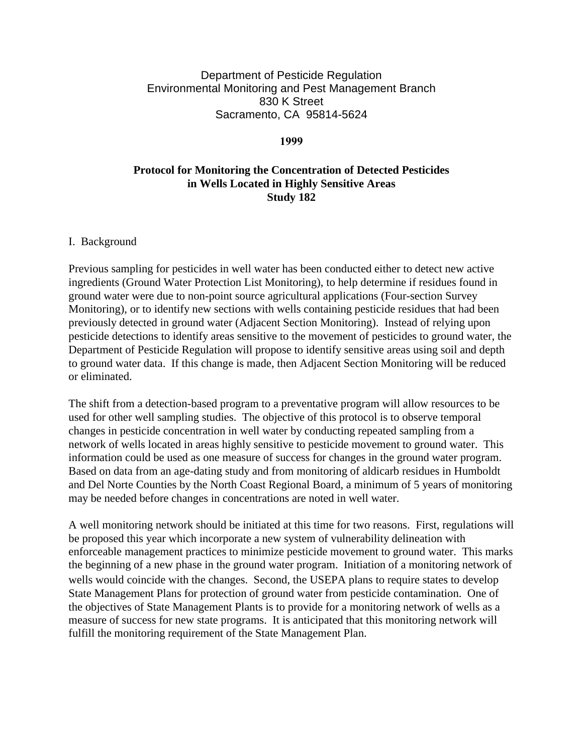# Department of Pesticide Regulation Environmental Monitoring and Pest Management Branch 830 K Street Sacramento, CA 95814-5624

#### **1999**

# **Protocol for Monitoring the Concentration of Detected Pesticides in Wells Located in Highly Sensitive Areas Study 182**

#### I. Background

Previous sampling for pesticides in well water has been conducted either to detect new active ingredients (Ground Water Protection List Monitoring), to help determine if residues found in ground water were due to non-point source agricultural applications (Four-section Survey Monitoring), or to identify new sections with wells containing pesticide residues that had been previously detected in ground water (Adjacent Section Monitoring). Instead of relying upon pesticide detections to identify areas sensitive to the movement of pesticides to ground water, the Department of Pesticide Regulation will propose to identify sensitive areas using soil and depth to ground water data. If this change is made, then Adjacent Section Monitoring will be reduced or eliminated.

The shift from a detection-based program to a preventative program will allow resources to be used for other well sampling studies. The objective of this protocol is to observe temporal changes in pesticide concentration in well water by conducting repeated sampling from a network of wells located in areas highly sensitive to pesticide movement to ground water. This information could be used as one measure of success for changes in the ground water program. Based on data from an age-dating study and from monitoring of aldicarb residues in Humboldt and Del Norte Counties by the North Coast Regional Board, a minimum of 5 years of monitoring may be needed before changes in concentrations are noted in well water.

A well monitoring network should be initiated at this time for two reasons. First, regulations will be proposed this year which incorporate a new system of vulnerability delineation with enforceable management practices to minimize pesticide movement to ground water. This marks the beginning of a new phase in the ground water program. Initiation of a monitoring network of wells would coincide with the changes. Second, the USEPA plans to require states to develop State Management Plans for protection of ground water from pesticide contamination. One of the objectives of State Management Plants is to provide for a monitoring network of wells as a measure of success for new state programs. It is anticipated that this monitoring network will fulfill the monitoring requirement of the State Management Plan.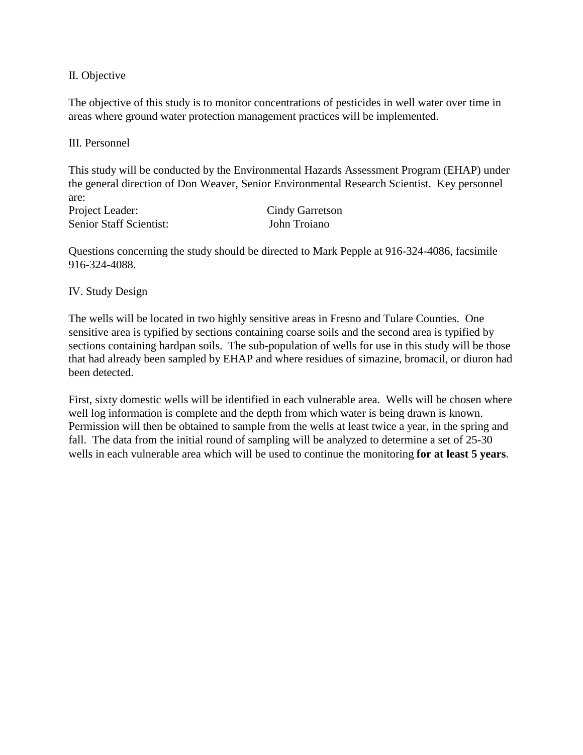II. Objective

The objective of this study is to monitor concentrations of pesticides in well water over time in areas where ground water protection management practices will be implemented.

III. Personnel

This study will be conducted by the Environmental Hazards Assessment Program (EHAP) under the general direction of Don Weaver, Senior Environmental Research Scientist. Key personnel are:

Project Leader: Senior Staff Scientist: Cindy Garretson John Troiano

Questions concerning the study should be directed to Mark Pepple at 916-324-4086, facsimile 916-324-4088.

IV. Study Design

The wells will be located in two highly sensitive areas in Fresno and Tulare Counties. One sensitive area is typified by sections containing coarse soils and the second area is typified by sections containing hardpan soils. The sub-population of wells for use in this study will be those that had already been sampled by EHAP and where residues of simazine, bromacil, or diuron had been detected.

First, sixty domestic wells will be identified in each vulnerable area. Wells will be chosen where well log information is complete and the depth from which water is being drawn is known. Permission will then be obtained to sample from the wells at least twice a year, in the spring and fall. The data from the initial round of sampling will be analyzed to determine a set of 25-30 wells in each vulnerable area which will be used to continue the monitoring **for at least 5 years**.